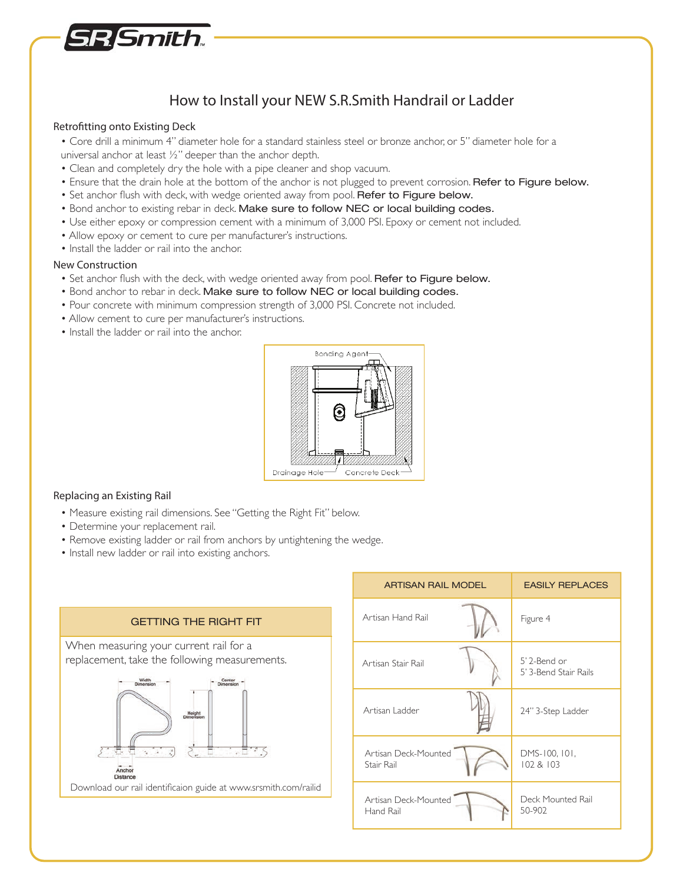

# How to Install your NEW S.R.Smith Handrail or Ladder

#### Retrofitting onto Existing Deck

- Core drill a minimum 4" diameter hole for a standard stainless steel or bronze anchor, or 5" diameter hole for a universal anchor at least ½" deeper than the anchor depth.
- Clean and completely dry the hole with a pipe cleaner and shop vacuum.
- Ensure that the drain hole at the bottom of the anchor is not plugged to prevent corrosion. Refer to Figure below.
- Set anchor flush with deck, with wedge oriented away from pool. Refer to Figure below.
- Bond anchor to existing rebar in deck. Make sure to follow NEC or local building codes.
- Use either epoxy or compression cement with a minimum of 3,000 PSI. Epoxy or cement not included.
- Allow epoxy or cement to cure per manufacturer's instructions.
- Install the ladder or rail into the anchor.

#### New Construction

- Set anchor flush with the deck, with wedge oriented away from pool. Refer to Figure below.
- Bond anchor to rebar in deck. Make sure to follow NEC or local building codes.
- Pour concrete with minimum compression strength of 3,000 PSI. Concrete not included.
- Allow cement to cure per manufacturer's instructions.
- Install the ladder or rail into the anchor.



#### Replacing an Existing Rail

- Measure existing rail dimensions. See "Getting the Right Fit" below.
- Determine your replacement rail.
- Remove existing ladder or rail from anchors by untightening the wedge.
- Install new ladder or rail into existing anchors.



| <b>ARTISAN RAIL MODEL</b>          | <b>EASILY REPLACES</b>                |
|------------------------------------|---------------------------------------|
| Artisan Hand Rail                  | Figure 4                              |
| Artisan Stair Rail                 | 5' 2-Bend or<br>5' 3-Bend Stair Rails |
| Artisan Ladder                     | 24" 3-Step Ladder                     |
| Artisan Deck-Mounted<br>Stair Rail | DMS-100, 101,<br>102 & 103            |
| Artisan Deck-Mounted<br>Hand Rail  | Deck Mounted Rail<br>50-902           |